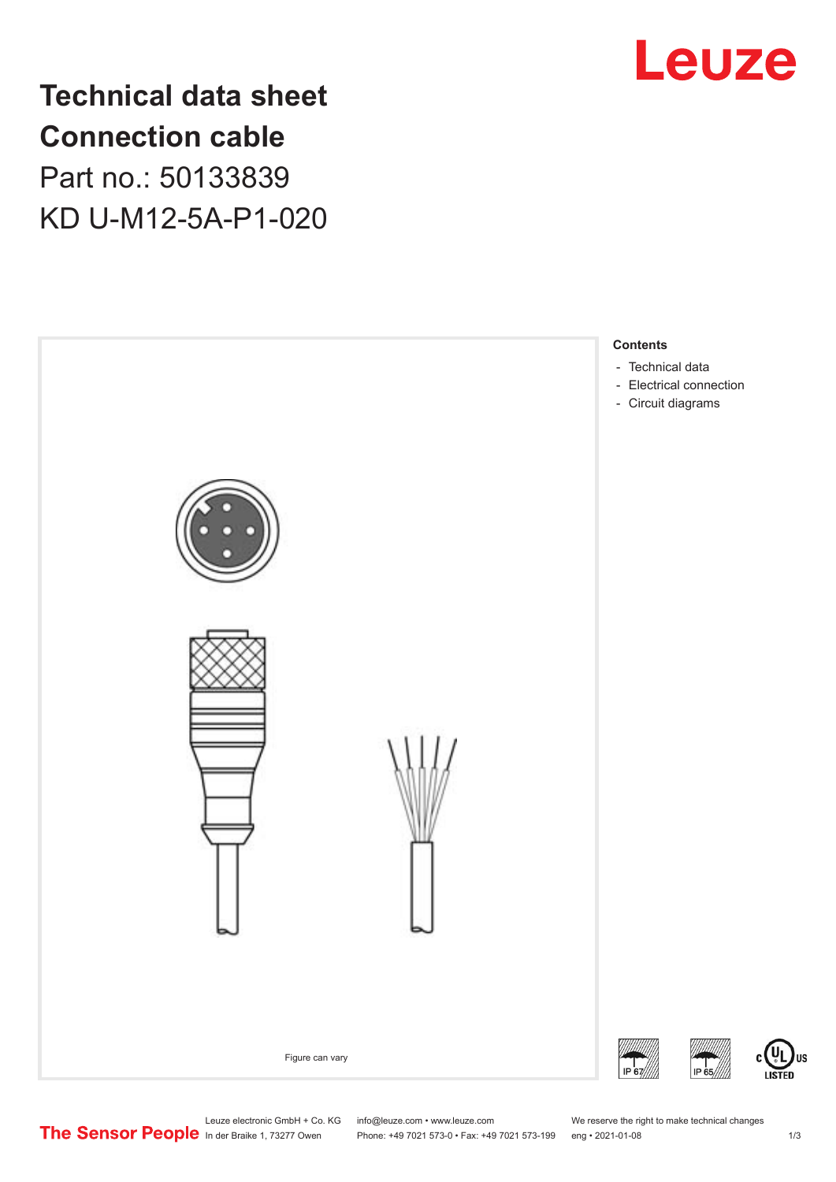

**Technical data sheet Connection cable** Part no.: 50133839 KD U-M12-5A-P1-020



Leuze electronic GmbH + Co. KG info@leuze.com • www.leuze.com We reserve the right to make technical changes<br>
The Sensor People in der Braike 1, 73277 Owen Phone: +49 7021 573-0 • Fax: +49 7021 573-199 eng • 2021-01-08

Phone: +49 7021 573-0 • Fax: +49 7021 573-199 eng • 2021-01-08 1 2021

US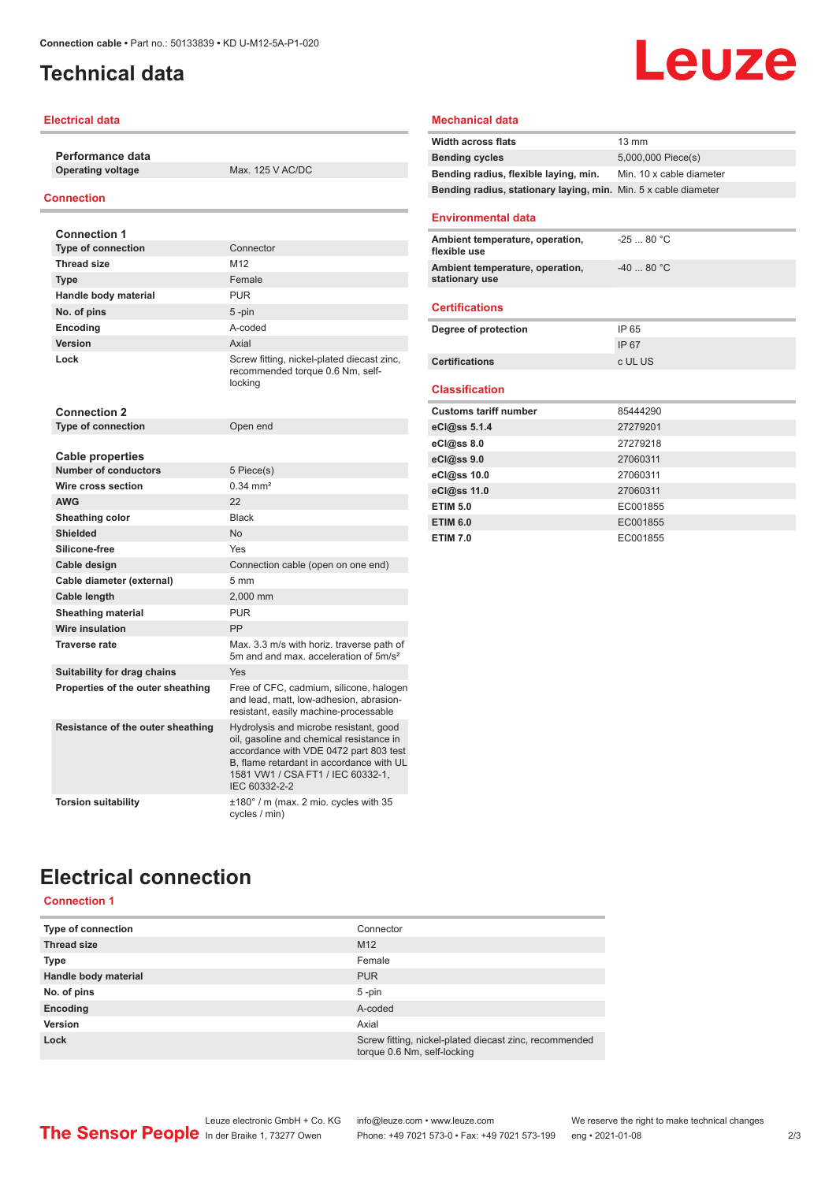# <span id="page-1-0"></span>**Technical data**

## **Electrical data**

**Performance data Operating voltage** Max. 125 V AC/DC

## **Connection**

| <b>Connection 1</b>               |                                                                                                                                                                                                                                |
|-----------------------------------|--------------------------------------------------------------------------------------------------------------------------------------------------------------------------------------------------------------------------------|
| <b>Type of connection</b>         | Connector                                                                                                                                                                                                                      |
| <b>Thread size</b>                | M12                                                                                                                                                                                                                            |
| <b>Type</b>                       | Female                                                                                                                                                                                                                         |
| Handle body material              | <b>PUR</b>                                                                                                                                                                                                                     |
| No. of pins                       | $5$ -pin                                                                                                                                                                                                                       |
| Encoding                          | hehon-A                                                                                                                                                                                                                        |
| Version                           | Axial                                                                                                                                                                                                                          |
| Lock                              | Screw fitting, nickel-plated diecast zinc,<br>recommended torque 0.6 Nm, self-<br>locking                                                                                                                                      |
| <b>Connection 2</b>               |                                                                                                                                                                                                                                |
| <b>Type of connection</b>         | Open end                                                                                                                                                                                                                       |
|                                   |                                                                                                                                                                                                                                |
| <b>Cable properties</b>           |                                                                                                                                                                                                                                |
| <b>Number of conductors</b>       | 5 Piece(s)                                                                                                                                                                                                                     |
| Wire cross section                | $0.34 \, \text{mm}^2$                                                                                                                                                                                                          |
| <b>AWG</b>                        | 22                                                                                                                                                                                                                             |
| Sheathing color                   | <b>Black</b>                                                                                                                                                                                                                   |
| <b>Shielded</b>                   | <b>No</b>                                                                                                                                                                                                                      |
| Silicone-free                     | Yes                                                                                                                                                                                                                            |
| Cable design                      | Connection cable (open on one end)                                                                                                                                                                                             |
| Cable diameter (external)         | 5 mm                                                                                                                                                                                                                           |
| Cable length                      | 2,000 mm                                                                                                                                                                                                                       |
| <b>Sheathing material</b>         | <b>PUR</b>                                                                                                                                                                                                                     |
| Wire insulation                   | PP                                                                                                                                                                                                                             |
| <b>Traverse rate</b>              | Max. 3.3 m/s with horiz. traverse path of<br>5m and and max, acceleration of 5m/s <sup>2</sup>                                                                                                                                 |
| Suitability for drag chains       | Yes                                                                                                                                                                                                                            |
| Properties of the outer sheathing | Free of CFC, cadmium, silicone, halogen<br>and lead, matt, low-adhesion, abrasion-<br>resistant, easily machine-processable                                                                                                    |
| Resistance of the outer sheathing | Hydrolysis and microbe resistant, good<br>oil, gasoline and chemical resistance in<br>accordance with VDE 0472 part 803 test<br>B. flame retardant in accordance with UL<br>1581 VW1 / CSA FT1 / IEC 60332-1.<br>IEC 60332-2-2 |
| <b>Torsion suitability</b>        | $\pm 180^\circ$ / m (max. 2 mio. cycles with 35<br>cycles / min)                                                                                                                                                               |

## **Mechanical data**

| <b>Width across flats</b>                                       | $13 \text{ mm}$          |
|-----------------------------------------------------------------|--------------------------|
| <b>Bending cycles</b>                                           | 5,000,000 Piece(s)       |
| Bending radius, flexible laying, min.                           | Min. 10 x cable diameter |
| Bending radius, stationary laying, min. Min. 5 x cable diameter |                          |
| <b>Environmental data</b>                                       |                          |
| Ambient temperature, operation,<br>flexible use                 | $-2580 °C$               |
| Ambient temperature, operation,<br>stationary use               | $-4080 °C$               |
| <b>Certifications</b>                                           |                          |
| Degree of protection                                            | IP 65                    |
|                                                                 | IP 67                    |
| <b>Certifications</b>                                           | c UL US                  |
| <b>Classification</b>                                           |                          |
| <b>Customs tariff number</b>                                    | 85444290                 |
| eCl@ss 5.1.4                                                    | 27279201                 |
| $eC/\omega$ ss 8.0                                              | 27279218                 |
| eCl@ss 9.0                                                      | 27060311                 |
| eCl@ss 10.0                                                     | 27060311                 |
| eCl@ss 11.0                                                     | 27060311                 |
| <b>ETIM 5.0</b>                                                 | EC001855                 |
| <b>ETIM 6.0</b>                                                 | EC001855                 |
| <b>ETIM 7.0</b>                                                 | EC001855                 |

Leuze

# **Electrical connection**

# **Connection 1**

| <b>Type of connection</b> | Connector                                                                             |
|---------------------------|---------------------------------------------------------------------------------------|
| <b>Thread size</b>        | M <sub>12</sub>                                                                       |
| <b>Type</b>               | Female                                                                                |
| Handle body material      | <b>PUR</b>                                                                            |
| No. of pins               | $5$ -pin                                                                              |
| Encoding                  | A-coded                                                                               |
| Version                   | Axial                                                                                 |
| Lock                      | Screw fitting, nickel-plated diecast zinc, recommended<br>torque 0.6 Nm, self-locking |

| cation        |          |
|---------------|----------|
| tariff number | 85444290 |
| 5.1.4         | 27279201 |
| 0.8           | 27279218 |
| 0.6           | 27060311 |
| 0.0           | 27060311 |
| 11.0          | 27060311 |
|               | EC001855 |
|               | EC001855 |
|               | EC001855 |
|               |          |
|               |          |
|               |          |
|               |          |
|               |          |